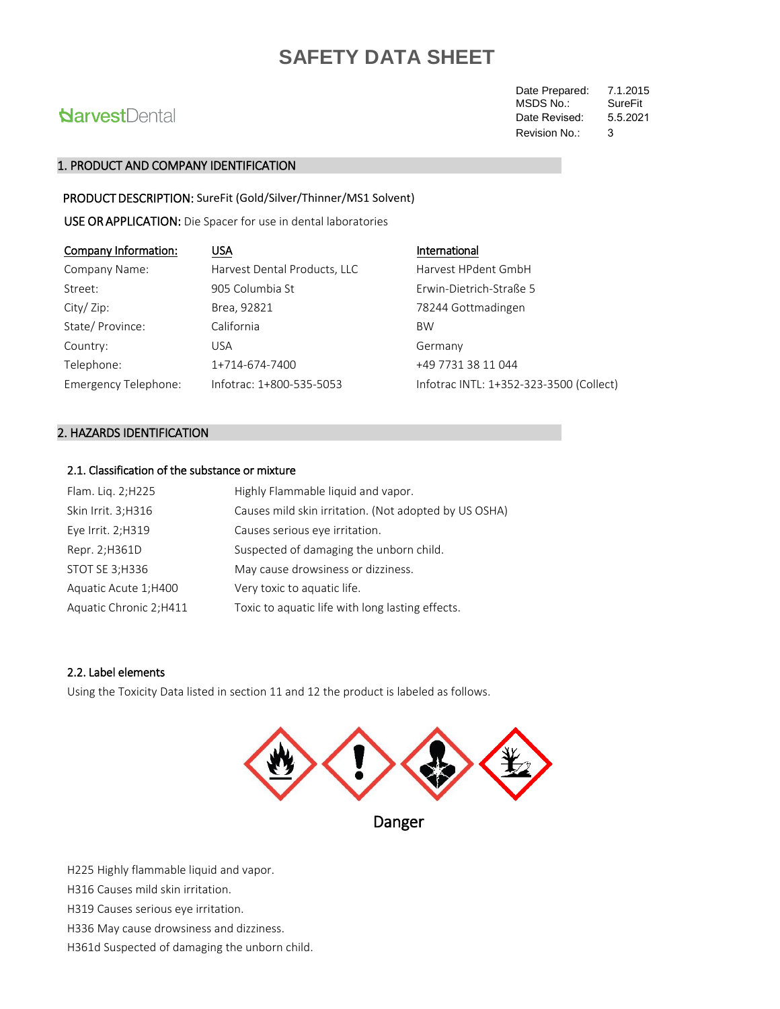# **NarvestDental**

Date Prepared: 7.1.2015<br>MSDS No.: SureFit MSDS No.: Revision No.: 3 Date Revised: 5.5.2021

### 1. PRODUCT AND COMPANY IDENTIFICATION

PRODUCT DESCRIPTION: SureFit (Gold/Silver/Thinner/MS1 Solvent)

USE OR APPLICATION: Die Spacer for use in dental laboratories

| Company Information: | <b>USA</b>                   | International                           |
|----------------------|------------------------------|-----------------------------------------|
| Company Name:        | Harvest Dental Products, LLC | Harvest HPdent GmbH                     |
| Street:              | 905 Columbia St              | Erwin-Dietrich-Straße 5                 |
| City/Zip:            | Brea, 92821                  | 78244 Gottmadingen                      |
| State/Province:      | California                   | <b>BW</b>                               |
| Country:             | USA                          | Germany                                 |
| Telephone:           | 1+714-674-7400               | +49 7731 38 11 044                      |
| Emergency Telephone: | Infotrac: 1+800-535-5053     | Infotrac INTL: 1+352-323-3500 (Collect) |

## 2. HAZARDS IDENTIFICATION

## 2.1. Classification of the substance or mixture

| Flam. Lig. 2; H225      | Highly Flammable liquid and vapor.                    |
|-------------------------|-------------------------------------------------------|
| Skin Irrit. 3;H316      | Causes mild skin irritation. (Not adopted by US OSHA) |
| Eye Irrit. 2;H319       | Causes serious eye irritation.                        |
| Repr. 2;H361D           | Suspected of damaging the unborn child.               |
| STOT SE 3; H336         | May cause drowsiness or dizziness.                    |
| Aquatic Acute 1; H400   | Very toxic to aquatic life.                           |
| Aquatic Chronic 2; H411 | Toxic to aquatic life with long lasting effects.      |

## 2.2. Label elements

Using the Toxicity Data listed in section 11 and 12 the product is labeled as follows.



Danger

H225 Highly flammable liquid and vapor.

H316 Causes mild skin irritation.

H319 Causes serious eye irritation.

H336 May cause drowsiness and dizziness.

H361d Suspected of damaging the unborn child.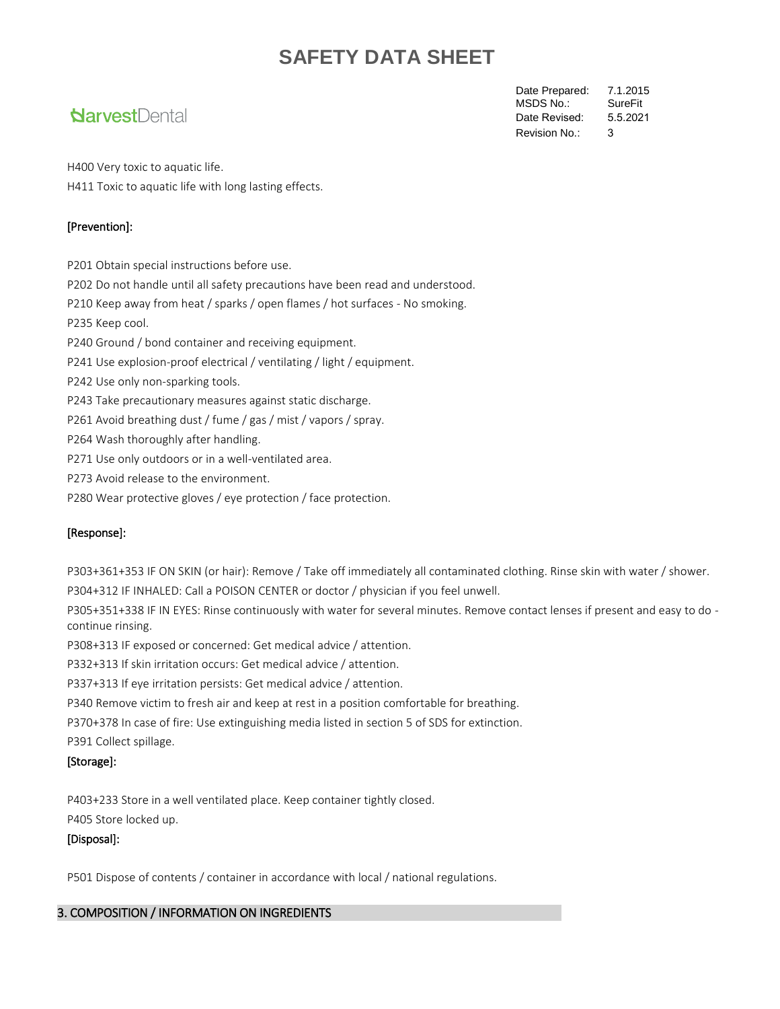# **Narvest**Dental

Date Prepared: 7.1.2015<br>MSDS No.: SureFit MSDS No.: Revision No.: 3 Date Revised: 5.5.2021

H400 Very toxic to aquatic life. H411 Toxic to aquatic life with long lasting effects.

## [Prevention]:

P201 Obtain special instructions before use.

P202 Do not handle until all safety precautions have been read and understood.

P210 Keep away from heat / sparks / open flames / hot surfaces - No smoking.

P235 Keep cool.

P240 Ground / bond container and receiving equipment.

P241 Use explosion-proof electrical / ventilating / light / equipment.

P242 Use only non-sparking tools.

P243 Take precautionary measures against static discharge.

P261 Avoid breathing dust / fume / gas / mist / vapors / spray.

P264 Wash thoroughly after handling.

P271 Use only outdoors or in a well-ventilated area.

P273 Avoid release to the environment.

P280 Wear protective gloves / eye protection / face protection.

## [Response]:

P303+361+353 IF ON SKIN (or hair): Remove / Take off immediately all contaminated clothing. Rinse skin with water / shower. P304+312 IF INHALED: Call a POISON CENTER or doctor / physician if you feel unwell.

P305+351+338 IF IN EYES: Rinse continuously with water for several minutes. Remove contact lenses if present and easy to do continue rinsing.

P308+313 IF exposed or concerned: Get medical advice / attention.

P332+313 If skin irritation occurs: Get medical advice / attention.

P337+313 If eye irritation persists: Get medical advice / attention.

P340 Remove victim to fresh air and keep at rest in a position comfortable for breathing.

P370+378 In case of fire: Use extinguishing media listed in section 5 of SDS for extinction.

P391 Collect spillage.

## [Storage]:

P403+233 Store in a well ventilated place. Keep container tightly closed.

# P405 Store locked up.

## [Disposal]:

P501 Dispose of contents / container in accordance with local / national regulations.

## 3. COMPOSITION / INFORMATION ON INGREDIENTS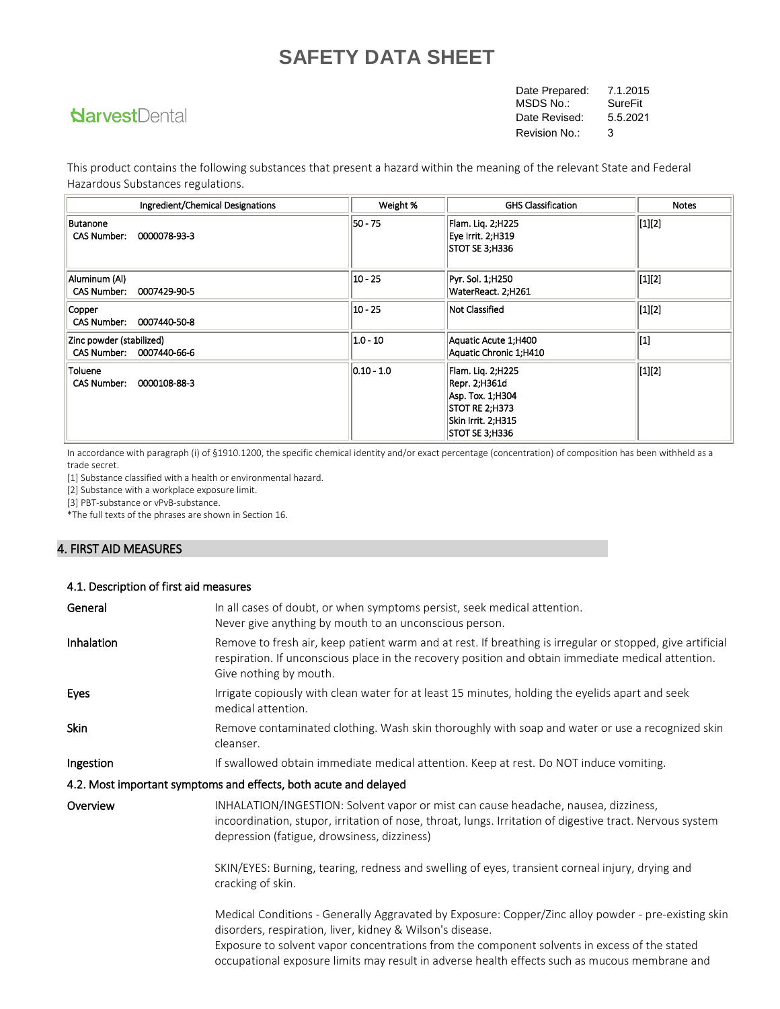# **NarvestDental**

Date Prepared: 7.1.2015<br>MSDS No.: SureFit MSDS No.: Revision No.: 3 Date Revised: 5.5.2021

This product contains the following substances that present a hazard within the meaning of the relevant State and Federal Hazardous Substances regulations.

| Ingredient/Chemical Designations                      | Weight %      | <b>GHS Classification</b>                                                                                         | <b>Notes</b>   |
|-------------------------------------------------------|---------------|-------------------------------------------------------------------------------------------------------------------|----------------|
| <b>Butanone</b><br><b>CAS Number:</b><br>0000078-93-3 | $50 - 75$     | Flam. Liq. 2;H225<br>Eye Irrit. 2;H319<br>STOT SE 3;H336                                                          | $\vert$ [1][2] |
| Aluminum (Al)<br>CAS Number: 0007429-90-5             | $10 - 25$     | Pyr. Sol. 1;H250<br>WaterReact. 2;H261                                                                            | $\vert$ [1][2] |
| Copper<br>CAS Number: 0007440-50-8                    | $10 - 25$     | Not Classified                                                                                                    | [1][2]         |
| Zinc powder (stabilized)<br>CAS Number: 0007440-66-6  | $ 1.0 - 10 $  | Aquatic Acute 1;H400<br>Aquatic Chronic 1;H410                                                                    | [1]            |
| Toluene<br>CAS Number: 0000108-88-3                   | $ 0.10 - 1.0$ | Flam. Lig. 2;H225<br>Repr. 2;H361d<br>Asp. Tox. 1; H304<br>STOT RE 2;H373<br>Skin Irrit. 2:H315<br>STOT SE 3;H336 | $\vert$ [1][2] |

In accordance with paragraph (i) of §1910.1200, the specific chemical identity and/or exact percentage (concentration) of composition has been withheld as a trade secret.

[1] Substance classified with a health or environmental hazard.

[2] Substance with a workplace exposure limit.

4.1. Description of first aid measures

[3] PBT-substance or vPvB-substance.

\*The full texts of the phrases are shown in Section 16.

## 4. FIRST AID MEASURES

| General    | In all cases of doubt, or when symptoms persist, seek medical attention.<br>Never give anything by mouth to an unconscious person.                                                                                                                                                                                                                                |
|------------|-------------------------------------------------------------------------------------------------------------------------------------------------------------------------------------------------------------------------------------------------------------------------------------------------------------------------------------------------------------------|
| Inhalation | Remove to fresh air, keep patient warm and at rest. If breathing is irregular or stopped, give artificial<br>respiration. If unconscious place in the recovery position and obtain immediate medical attention.<br>Give nothing by mouth.                                                                                                                         |
| Eyes       | Irrigate copiously with clean water for at least 15 minutes, holding the eyelids apart and seek<br>medical attention.                                                                                                                                                                                                                                             |
| Skin       | Remove contaminated clothing. Wash skin thoroughly with soap and water or use a recognized skin<br>cleanser.                                                                                                                                                                                                                                                      |
| Ingestion  | If swallowed obtain immediate medical attention. Keep at rest. Do NOT induce vomiting.                                                                                                                                                                                                                                                                            |
|            | 4.2. Most important symptoms and effects, both acute and delayed                                                                                                                                                                                                                                                                                                  |
| Overview   | INHALATION/INGESTION: Solvent vapor or mist can cause headache, nausea, dizziness,<br>incoordination, stupor, irritation of nose, throat, lungs. Irritation of digestive tract. Nervous system<br>depression (fatigue, drowsiness, dizziness)                                                                                                                     |
|            | SKIN/EYES: Burning, tearing, redness and swelling of eyes, transient corneal injury, drying and<br>cracking of skin.                                                                                                                                                                                                                                              |
|            | Medical Conditions - Generally Aggravated by Exposure: Copper/Zinc alloy powder - pre-existing skin<br>disorders, respiration, liver, kidney & Wilson's disease.<br>Exposure to solvent vapor concentrations from the component solvents in excess of the stated<br>occupational exposure limits may result in adverse health effects such as mucous membrane and |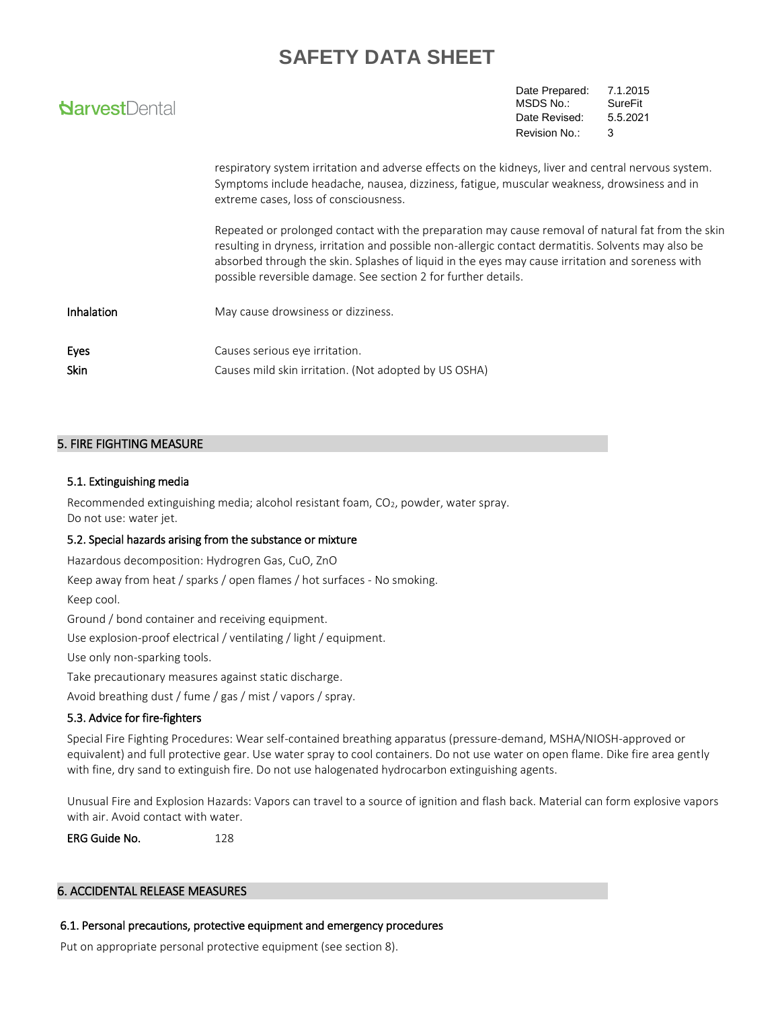| <b>NarvestDental</b> |                                                                                                                                                                                                                                                                                                                                                                                | Date Prepared:<br>MSDS No.:<br>Date Revised: | 7.1.2015<br><b>SureFit</b><br>5.5.2021 |
|----------------------|--------------------------------------------------------------------------------------------------------------------------------------------------------------------------------------------------------------------------------------------------------------------------------------------------------------------------------------------------------------------------------|----------------------------------------------|----------------------------------------|
|                      |                                                                                                                                                                                                                                                                                                                                                                                | Revision No.:                                | 3                                      |
|                      | respiratory system irritation and adverse effects on the kidneys, liver and central nervous system.<br>Symptoms include headache, nausea, dizziness, fatigue, muscular weakness, drowsiness and in<br>extreme cases, loss of consciousness.                                                                                                                                    |                                              |                                        |
|                      | Repeated or prolonged contact with the preparation may cause removal of natural fat from the skin<br>resulting in dryness, irritation and possible non-allergic contact dermatitis. Solvents may also be<br>absorbed through the skin. Splashes of liquid in the eyes may cause irritation and soreness with<br>possible reversible damage. See section 2 for further details. |                                              |                                        |
| Inhalation           | May cause drowsiness or dizziness.                                                                                                                                                                                                                                                                                                                                             |                                              |                                        |
| Eyes<br>Skin         | Causes serious eye irritation.<br>Causes mild skin irritation. (Not adopted by US OSHA)                                                                                                                                                                                                                                                                                        |                                              |                                        |

## 5. FIRE FIGHTING MEASURE

### 5.1. Extinguishing media

Recommended extinguishing media; alcohol resistant foam, CO<sub>2</sub>, powder, water spray. Do not use: water jet.

### 5.2. Special hazards arising from the substance or mixture

Hazardous decomposition: Hydrogren Gas, CuO, ZnO

Keep away from heat / sparks / open flames / hot surfaces - No smoking.

Keep cool.

Ground / bond container and receiving equipment.

Use explosion-proof electrical / ventilating / light / equipment.

Use only non-sparking tools.

Take precautionary measures against static discharge.

Avoid breathing dust / fume / gas / mist / vapors / spray.

### 5.3. Advice for fire-fighters

Special Fire Fighting Procedures: Wear self-contained breathing apparatus (pressure-demand, MSHA/NIOSH-approved or equivalent) and full protective gear. Use water spray to cool containers. Do not use water on open flame. Dike fire area gently with fine, dry sand to extinguish fire. Do not use halogenated hydrocarbon extinguishing agents.

Unusual Fire and Explosion Hazards: Vapors can travel to a source of ignition and flash back. Material can form explosive vapors with air. Avoid contact with water.

ERG Guide No. 228

### 6. ACCIDENTAL RELEASE MEASURES

### 6.1. Personal precautions, protective equipment and emergency procedures

Put on appropriate personal protective equipment (see section 8).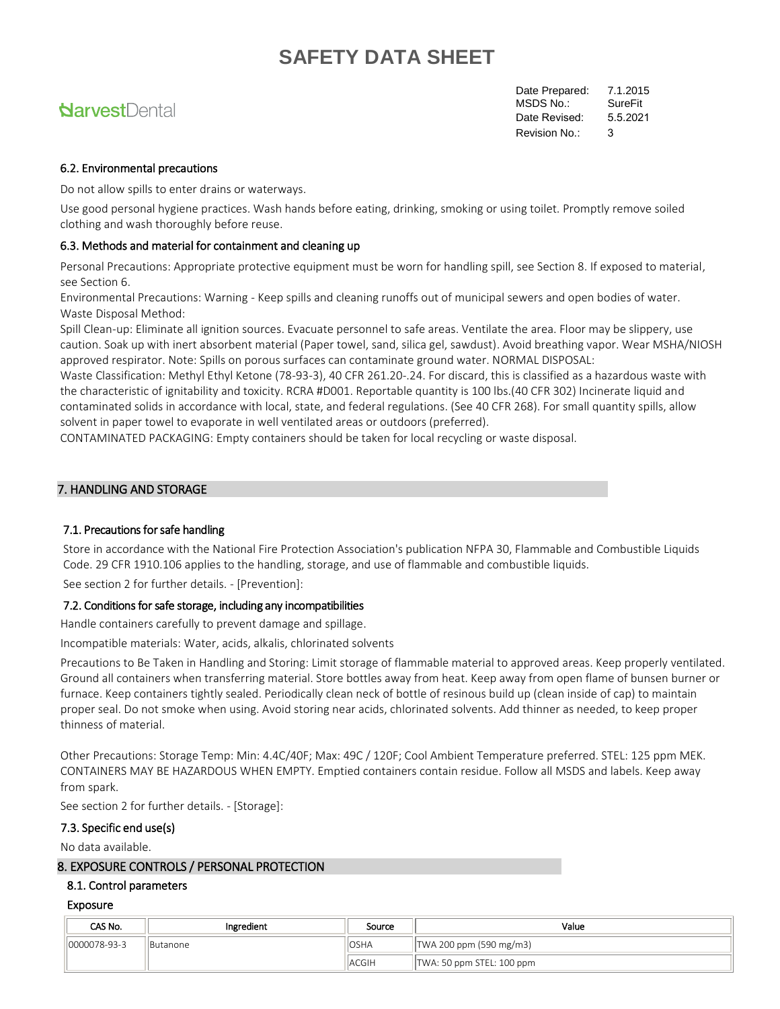# **Narvest**Dental

Date Prepared: 7.1.2015 MSDS No.: SureFit Revision No.: 3 Date Revised: 5.5.2021

### 6.2. Environmental precautions

Do not allow spills to enter drains or waterways.

Use good personal hygiene practices. Wash hands before eating, drinking, smoking or using toilet. Promptly remove soiled clothing and wash thoroughly before reuse.

#### 6.3. Methods and material for containment and cleaning up

Personal Precautions: Appropriate protective equipment must be worn for handling spill, see Section 8. If exposed to material, see Section 6.

Environmental Precautions: Warning - Keep spills and cleaning runoffs out of municipal sewers and open bodies of water. Waste Disposal Method:

Spill Clean-up: Eliminate all ignition sources. Evacuate personnel to safe areas. Ventilate the area. Floor may be slippery, use caution. Soak up with inert absorbent material (Paper towel, sand, silica gel, sawdust). Avoid breathing vapor. Wear MSHA/NIOSH approved respirator. Note: Spills on porous surfaces can contaminate ground water. NORMAL DISPOSAL:

Waste Classification: Methyl Ethyl Ketone (78-93-3), 40 CFR 261.20-.24. For discard, this is classified as a hazardous waste with the characteristic of ignitability and toxicity. RCRA #D001. Reportable quantity is 100 lbs.(40 CFR 302) Incinerate liquid and contaminated solids in accordance with local, state, and federal regulations. (See 40 CFR 268). For small quantity spills, allow solvent in paper towel to evaporate in well ventilated areas or outdoors (preferred).

CONTAMINATED PACKAGING: Empty containers should be taken for local recycling or waste disposal.

#### 7. HANDLING AND STORAGE

#### 7.1. Precautions for safe handling

Store in accordance with the National Fire Protection Association's publication NFPA 30, Flammable and Combustible Liquids Code. 29 CFR 1910.106 applies to the handling, storage, and use of flammable and combustible liquids.

See section 2 for further details. - [Prevention]:

#### 7.2. Conditions for safe storage, including any incompatibilities

Handle containers carefully to prevent damage and spillage.

Incompatible materials: Water, acids, alkalis, chlorinated solvents

Precautions to Be Taken in Handling and Storing: Limit storage of flammable material to approved areas. Keep properly ventilated. Ground all containers when transferring material. Store bottles away from heat. Keep away from open flame of bunsen burner or furnace. Keep containers tightly sealed. Periodically clean neck of bottle of resinous build up (clean inside of cap) to maintain proper seal. Do not smoke when using. Avoid storing near acids, chlorinated solvents. Add thinner as needed, to keep proper thinness of material.

Other Precautions: Storage Temp: Min: 4.4C/40F; Max: 49C / 120F; Cool Ambient Temperature preferred. STEL: 125 ppm MEK. CONTAINERS MAY BE HAZARDOUS WHEN EMPTY. Emptied containers contain residue. Follow all MSDS and labels. Keep away from spark.

See section 2 for further details. - [Storage]:

#### 7.3. Specific end use(s)

No data available.

#### 8. EXPOSURE CONTROLS / PERSONAL PROTECTION

#### 8.1. Control parameters

#### Exposure

| CAS No.       | Ingredient      | Source        | Value                           |  |  |  |
|---------------|-----------------|---------------|---------------------------------|--|--|--|
| 10000078-93-3 | <b>Butanone</b> | <b>OSHA</b>   | $\vert$ TWA 200 ppm (590 mg/m3) |  |  |  |
|               |                 | <b>IACGIH</b> | TWA: 50 ppm STEL: 100 ppm       |  |  |  |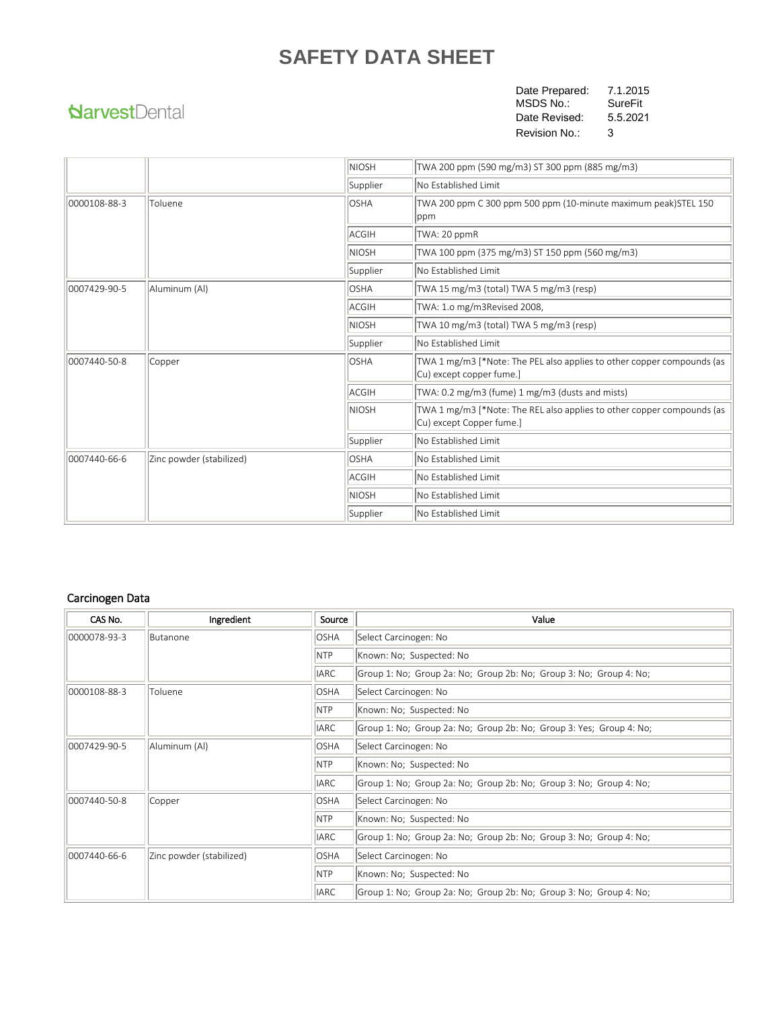# **NarvestDental**

Date Prepared: 7.1.2015 MSDS No.: SureFit Revision No.: 3 Date Revised: 5.5.2021

|              |                          | <b>NIOSH</b><br>TWA 200 ppm (590 mg/m3) ST 300 ppm (885 mg/m3) |                                                                                                    |  |  |
|--------------|--------------------------|----------------------------------------------------------------|----------------------------------------------------------------------------------------------------|--|--|
|              |                          | Supplier                                                       | No Established Limit                                                                               |  |  |
| 0000108-88-3 | Toluene                  | <b>OSHA</b>                                                    | TWA 200 ppm C 300 ppm 500 ppm (10-minute maximum peak)STEL 150<br> ppm                             |  |  |
|              |                          | ACGIH                                                          | TWA: 20 ppmR                                                                                       |  |  |
|              |                          | <b>NIOSH</b>                                                   | TWA 100 ppm (375 mg/m3) ST 150 ppm (560 mg/m3)                                                     |  |  |
|              |                          | Supplier                                                       | No Established Limit                                                                               |  |  |
| 0007429-90-5 | Aluminum (Al)            | <b>OSHA</b>                                                    | TWA 15 mg/m3 (total) TWA 5 mg/m3 (resp)                                                            |  |  |
|              |                          | ACGIH                                                          | TWA: 1.0 mg/m3Revised 2008,                                                                        |  |  |
|              |                          | <b>NIOSH</b>                                                   | TWA 10 mg/m3 (total) TWA 5 mg/m3 (resp)                                                            |  |  |
|              |                          | Supplier                                                       | No Established Limit                                                                               |  |  |
| 0007440-50-8 | Copper                   | <b>OSHA</b>                                                    | TWA 1 mg/m3 [*Note: The PEL also applies to other copper compounds (as<br>Cu) except copper fume.] |  |  |
|              |                          | ACGIH                                                          | TWA: 0.2 mg/m3 (fume) 1 mg/m3 (dusts and mists)                                                    |  |  |
|              |                          | <b>NIOSH</b>                                                   | TWA 1 mg/m3 [*Note: The REL also applies to other copper compounds (as<br>Cu) except Copper fume.] |  |  |
|              |                          | Supplier                                                       | No Established Limit                                                                               |  |  |
| 0007440-66-6 | Zinc powder (stabilized) | <b>OSHA</b>                                                    | No Established Limit                                                                               |  |  |
|              |                          | ACGIH                                                          | No Established Limit                                                                               |  |  |
|              |                          | <b>NIOSH</b>                                                   | No Established Limit                                                                               |  |  |
|              |                          | Supplier                                                       | No Established Limit                                                                               |  |  |

## Carcinogen Data

| CAS No.      | Ingredient               | Source      | Value                                                               |
|--------------|--------------------------|-------------|---------------------------------------------------------------------|
| 0000078-93-3 | Butanone                 | <b>OSHA</b> | Select Carcinogen: No                                               |
|              |                          | <b>NTP</b>  | Known: No; Suspected: No                                            |
|              |                          | <b>IARC</b> | Group 1: No; Group 2a: No; Group 2b: No; Group 3: No; Group 4: No;  |
| 0000108-88-3 | Toluene                  | <b>OSHA</b> | Select Carcinogen: No                                               |
|              |                          | <b>NTP</b>  | Known: No; Suspected: No                                            |
|              |                          | <b>IARC</b> | Group 1: No; Group 2a: No; Group 2b: No; Group 3: Yes; Group 4: No; |
| 0007429-90-5 | Aluminum (Al)            | <b>OSHA</b> | Select Carcinogen: No                                               |
|              |                          | NTP         | Known: No; Suspected: No                                            |
|              |                          | <b>IARC</b> | Group 1: No; Group 2a: No; Group 2b: No; Group 3: No; Group 4: No;  |
| 0007440-50-8 | Copper                   | <b>OSHA</b> | Select Carcinogen: No                                               |
|              |                          | <b>NTP</b>  | Known: No; Suspected: No                                            |
|              |                          | <b>IARC</b> | Group 1: No; Group 2a: No; Group 2b: No; Group 3: No; Group 4: No;  |
| 0007440-66-6 | Zinc powder (stabilized) | <b>OSHA</b> | Select Carcinogen: No                                               |
|              |                          | NTP         | Known: No; Suspected: No                                            |
|              |                          | <b>IARC</b> | Group 1: No; Group 2a: No; Group 2b: No; Group 3: No; Group 4: No;  |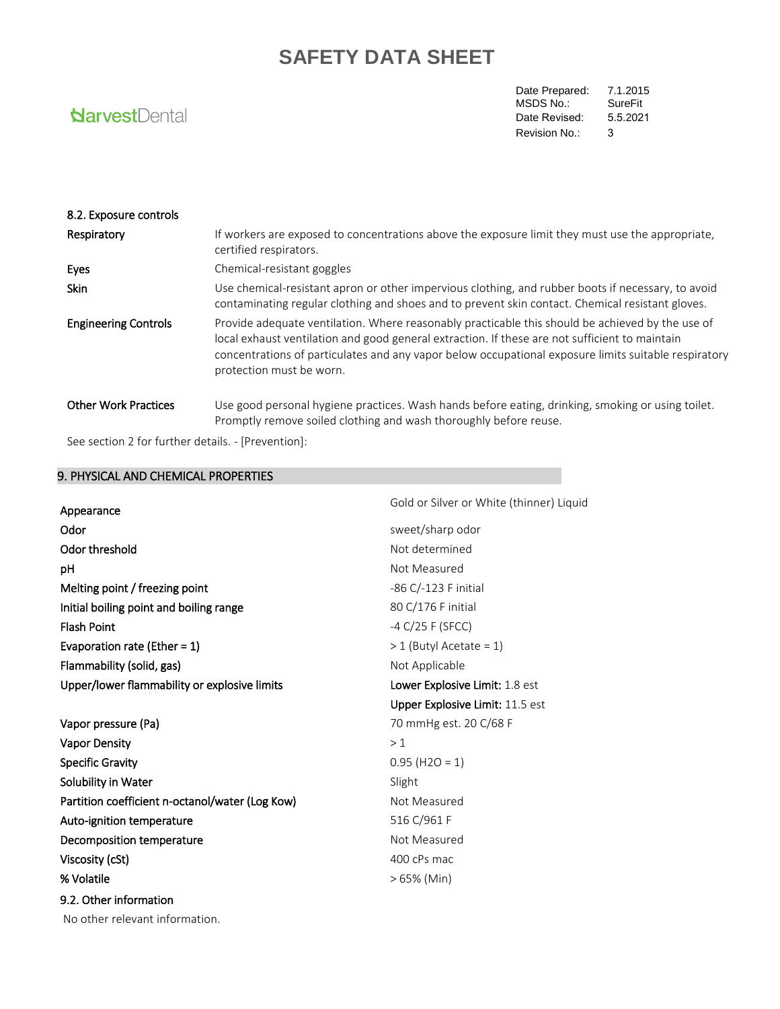# **NarvestDental**

Date Prepared: 7.1.2015<br>MSDS No.: SureFit MSDS No.: Revision No.: 3 Date Revised: 5.5.2021

| 8.2. Exposure controls      |                                                                                                                                                                                                                                                                                                                                        |
|-----------------------------|----------------------------------------------------------------------------------------------------------------------------------------------------------------------------------------------------------------------------------------------------------------------------------------------------------------------------------------|
| Respiratory                 | If workers are exposed to concentrations above the exposure limit they must use the appropriate,<br>certified respirators.                                                                                                                                                                                                             |
| Eyes                        | Chemical-resistant goggles                                                                                                                                                                                                                                                                                                             |
| Skin                        | Use chemical-resistant apron or other impervious clothing, and rubber boots if necessary, to avoid<br>contaminating regular clothing and shoes and to prevent skin contact. Chemical resistant gloves.                                                                                                                                 |
| <b>Engineering Controls</b> | Provide adequate ventilation. Where reasonably practicable this should be achieved by the use of<br>local exhaust ventilation and good general extraction. If these are not sufficient to maintain<br>concentrations of particulates and any vapor below occupational exposure limits suitable respiratory<br>protection must be worn. |
| <b>Other Work Practices</b> | Use good personal hygiene practices. Wash hands before eating, drinking, smoking or using toilet.<br>Promptly remove soiled clothing and wash thoroughly before reuse.                                                                                                                                                                 |

See section 2 for further details. - [Prevention]:

| 9. PHYSICAL AND CHEMICAL PROPERTIES             |                                          |  |  |  |
|-------------------------------------------------|------------------------------------------|--|--|--|
| Appearance                                      | Gold or Silver or White (thinner) Liquid |  |  |  |
| Odor                                            | sweet/sharp odor                         |  |  |  |
| Odor threshold                                  | Not determined                           |  |  |  |
| pH                                              | Not Measured                             |  |  |  |
| Melting point / freezing point                  | -86 C/-123 F initial                     |  |  |  |
| Initial boiling point and boiling range         | 80 C/176 F initial                       |  |  |  |
| <b>Flash Point</b>                              | $-4$ C/25 F (SFCC)                       |  |  |  |
| Evaporation rate (Ether = $1$ )                 | $> 1$ (Butyl Acetate = 1)                |  |  |  |
| Flammability (solid, gas)                       | Not Applicable                           |  |  |  |
| Upper/lower flammability or explosive limits    | Lower Explosive Limit: 1.8 est           |  |  |  |
|                                                 | Upper Explosive Limit: 11.5 est          |  |  |  |
| Vapor pressure (Pa)                             | 70 mmHg est. 20 C/68 F                   |  |  |  |
| <b>Vapor Density</b>                            | >1                                       |  |  |  |
| <b>Specific Gravity</b>                         | $0.95$ (H2O = 1)                         |  |  |  |
| Solubility in Water                             | Slight                                   |  |  |  |
| Partition coefficient n-octanol/water (Log Kow) | Not Measured                             |  |  |  |
| Auto-ignition temperature                       | 516 C/961 F                              |  |  |  |
| Decomposition temperature                       | Not Measured                             |  |  |  |
| Viscosity (cSt)                                 | 400 cPs mac                              |  |  |  |
| % Volatile                                      | $>65\%$ (Min)                            |  |  |  |
| 9.2. Other information                          |                                          |  |  |  |
| No other relevant information.                  |                                          |  |  |  |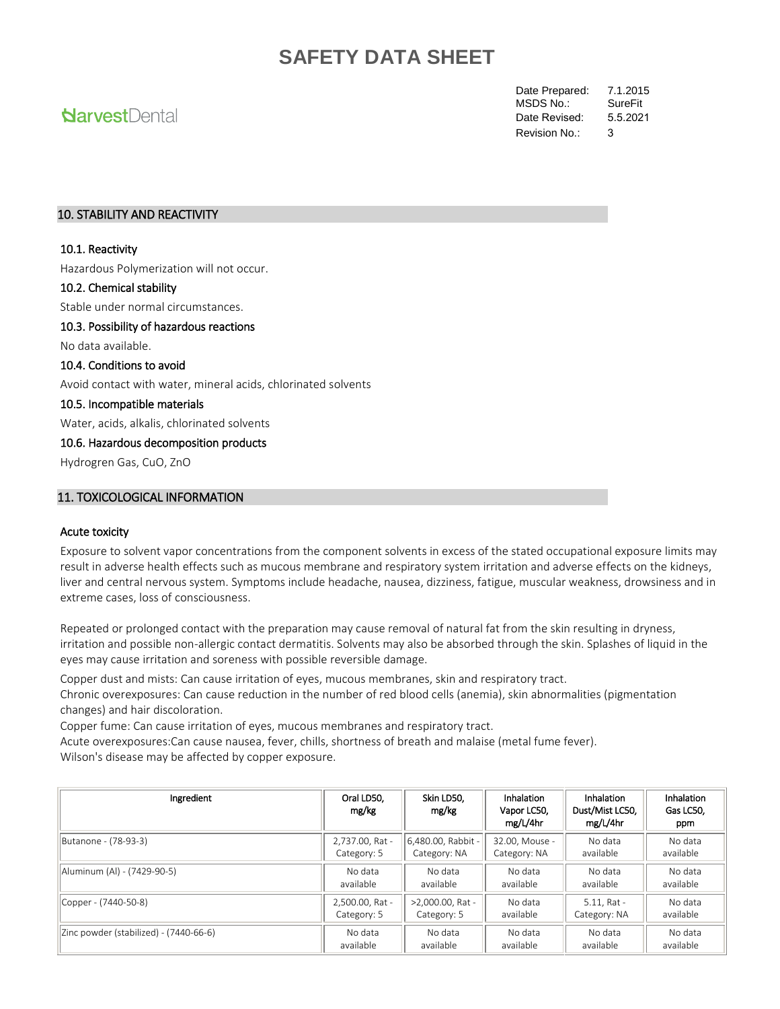# **Narvest**Dental

Date Prepared: 7.1.2015<br>MSDS No.: SureFit MSDS No.: Revision No.: 3 Date Revised: 5.5.2021

### 10. STABILITY AND REACTIVITY

#### 10.1. Reactivity

Hazardous Polymerization will not occur.

#### 10.2. Chemical stability

Stable under normal circumstances.

### 10.3. Possibility of hazardous reactions

No data available.

## 10.4. Conditions to avoid

Avoid contact with water, mineral acids, chlorinated solvents

#### 10.5. Incompatible materials

Water, acids, alkalis, chlorinated solvents

#### 10.6. Hazardous decomposition products

Hydrogren Gas, CuO, ZnO

## 11. TOXICOLOGICAL INFORMATION

#### Acute toxicity

Exposure to solvent vapor concentrations from the component solvents in excess of the stated occupational exposure limits may result in adverse health effects such as mucous membrane and respiratory system irritation and adverse effects on the kidneys, liver and central nervous system. Symptoms include headache, nausea, dizziness, fatigue, muscular weakness, drowsiness and in extreme cases, loss of consciousness.

Repeated or prolonged contact with the preparation may cause removal of natural fat from the skin resulting in dryness, irritation and possible non-allergic contact dermatitis. Solvents may also be absorbed through the skin. Splashes of liquid in the eyes may cause irritation and soreness with possible reversible damage.

Copper dust and mists: Can cause irritation of eyes, mucous membranes, skin and respiratory tract.

Chronic overexposures: Can cause reduction in the number of red blood cells (anemia), skin abnormalities (pigmentation changes) and hair discoloration.

Copper fume: Can cause irritation of eyes, mucous membranes and respiratory tract.

Acute overexposures:Can cause nausea, fever, chills, shortness of breath and malaise (metal fume fever). Wilson's disease may be affected by copper exposure.

| Ingredient                             | Oral LD50,<br>mg/kg | Skin LD50,<br>mg/kg | <b>Inhalation</b><br>Vapor LC50,<br>mg/L/4hr | Inhalation<br>Dust/Mist LC50,<br>mg/L/4hr | Inhalation<br>Gas LC50,<br>ppm |
|----------------------------------------|---------------------|---------------------|----------------------------------------------|-------------------------------------------|--------------------------------|
| Butanone - (78-93-3)                   | 2,737.00, Rat -     | 6,480.00, Rabbit -  | 32.00. Mouse -                               | No data                                   | No data                        |
|                                        | Category: 5         | Category: NA        | Category: NA                                 | available                                 | available                      |
| Aluminum (Al) - (7429-90-5)            | No data             | No data             | No data                                      | No data                                   | No data                        |
|                                        | available           | available           | available                                    | available                                 | available                      |
| Copper - (7440-50-8)                   | 2,500.00, Rat -     | >2,000.00, Rat -    | No data                                      | $5.11.$ Rat -                             | No data                        |
|                                        | Category: 5         | Category: 5         | available                                    | Category: NA                              | available                      |
| Zinc powder (stabilized) - (7440-66-6) | No data             | No data             | No data                                      | No data                                   | No data                        |
|                                        | available           | available           | available                                    | available                                 | available                      |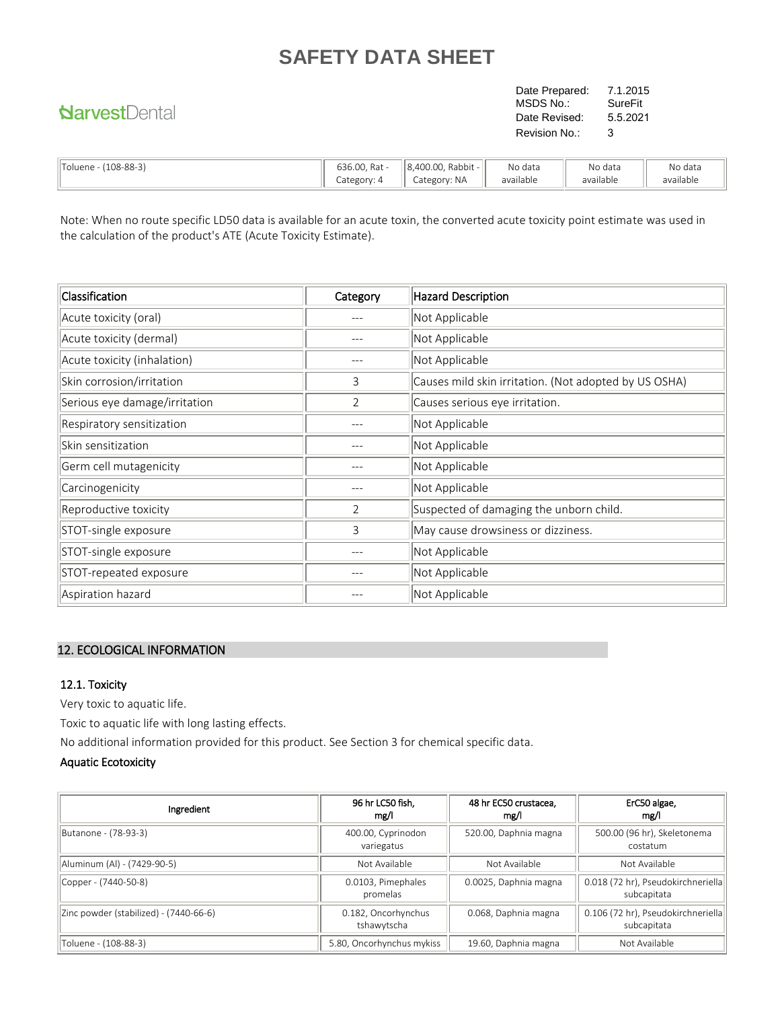# **NarvestDental**

Date Prepared: 7.1.2015<br>MSDS No.: SureFit MSDS No.: Revision No.: 3 Date Revised: 5.5.2021

| $-$<br>$108 - 88 - 3$<br>'Toluene - ( | 636.00. Rat - | Rabbit -<br>8.400.00. | No data   | No data   | No data   |
|---------------------------------------|---------------|-----------------------|-----------|-----------|-----------|
|                                       | Category:     | Category: NA          | available | available | available |

Note: When no route specific LD50 data is available for an acute toxin, the converted acute toxicity point estimate was used in the calculation of the product's ATE (Acute Toxicity Estimate).

| Classification                | Category | <b>Hazard Description</b>                             |
|-------------------------------|----------|-------------------------------------------------------|
| Acute toxicity (oral)         |          | Not Applicable                                        |
| Acute toxicity (dermal)       |          | Not Applicable                                        |
| Acute toxicity (inhalation)   |          | Not Applicable                                        |
| Skin corrosion/irritation     | 3        | Causes mild skin irritation. (Not adopted by US OSHA) |
| Serious eye damage/irritation | 2        | Causes serious eye irritation.                        |
| Respiratory sensitization     |          | Not Applicable                                        |
| Skin sensitization            |          | Not Applicable                                        |
| Germ cell mutagenicity        |          | Not Applicable                                        |
| Carcinogenicity               |          | Not Applicable                                        |
| Reproductive toxicity         | 2        | Suspected of damaging the unborn child.               |
| STOT-single exposure          | 3        | May cause drowsiness or dizziness.                    |
| STOT-single exposure          |          | Not Applicable                                        |
| STOT-repeated exposure        |          | Not Applicable                                        |
| Aspiration hazard             |          | Not Applicable                                        |

# 12. ECOLOGICAL INFORMATION

### 12.1. Toxicity

Very toxic to aquatic life.

Toxic to aquatic life with long lasting effects.

No additional information provided for this product. See Section 3 for chemical specific data.

### Aquatic Ecotoxicity

| Ingredient                             | 96 hr LC50 fish,<br>mg/l           | 48 hr EC50 crustacea.<br>mg/l | ErC50 algae,<br>mg/l                              |
|----------------------------------------|------------------------------------|-------------------------------|---------------------------------------------------|
| Butanone - (78-93-3)                   | 400.00, Cyprinodon<br>variegatus   | 520.00, Daphnia magna         | 500.00 (96 hr), Skeletonema<br>costatum           |
| Aluminum (Al) - (7429-90-5)            | Not Available                      | Not Available                 | Not Available                                     |
| Copper - (7440-50-8)                   | 0.0103, Pimephales<br>promelas     | 0.0025, Daphnia magna         | 0.018 (72 hr), Pseudokirchneriella<br>subcapitata |
| Zinc powder (stabilized) - (7440-66-6) | 0.182, Oncorhynchus<br>tshawytscha | 0.068, Daphnia magna          | 0.106 (72 hr), Pseudokirchneriella<br>subcapitata |
| Toluene - (108-88-3)                   | 5.80, Oncorhynchus mykiss          | 19.60, Daphnia magna          | Not Available                                     |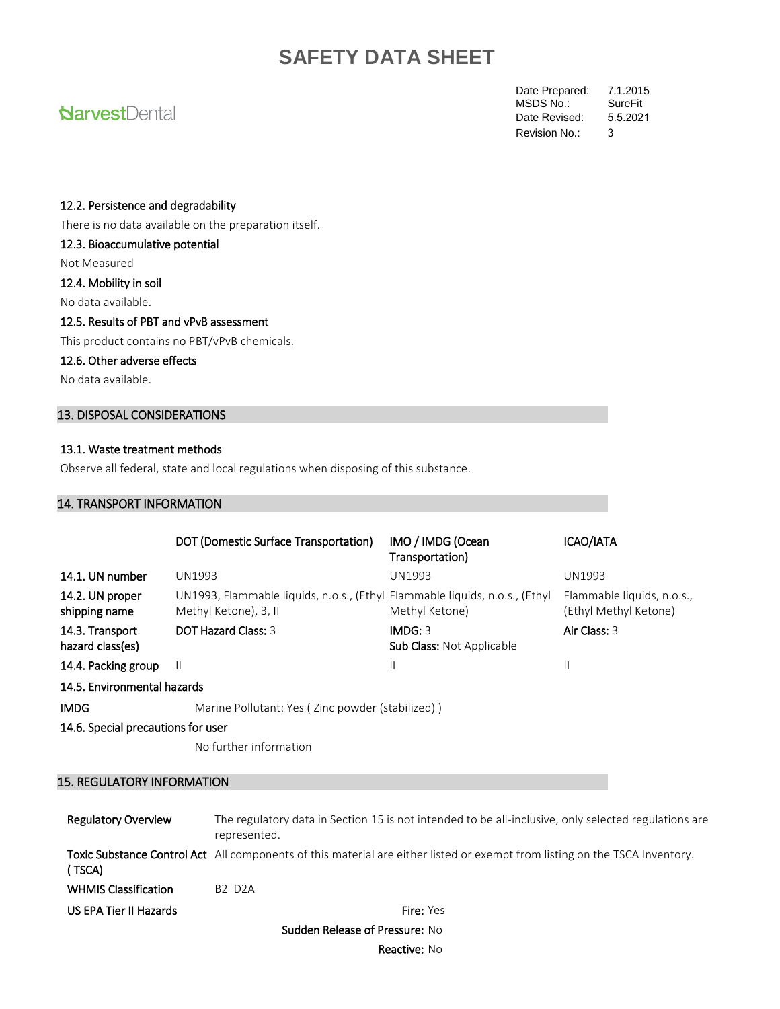# **Narvest**Dental

Date Prepared: 7.1.2015<br>MSDS No.: SureFit MSDS No.: Revision No.: 3 Date Revised: 5.5.2021

#### 12.2. Persistence and degradability

There is no data available on the preparation itself.

### 12.3. Bioaccumulative potential

Not Measured

#### 12.4. Mobility in soil

No data available.

## 12.5. Results of PBT and vPvB assessment

This product contains no PBT/vPvB chemicals.

## 12.6. Other adverse effects

No data available.

## 13. DISPOSAL CONSIDERATIONS

### 13.1. Waste treatment methods

Observe all federal, state and local regulations when disposing of this substance.

### 14. TRANSPORT INFORMATION

|                                     | DOT (Domestic Surface Transportation)                                                                | IMO / IMDG (Ocean<br>Transportation)        | ICAO/IATA                                           |  |  |
|-------------------------------------|------------------------------------------------------------------------------------------------------|---------------------------------------------|-----------------------------------------------------|--|--|
| 14.1. UN number                     | UN1993                                                                                               | <b>UN1993</b>                               | UN1993                                              |  |  |
| 14.2. UN proper<br>shipping name    | UN1993, Flammable liquids, n.o.s., (Ethyl Flammable liquids, n.o.s., (Ethyl<br>Methyl Ketone), 3, II | Methyl Ketone)                              | Flammable liquids, n.o.s.,<br>(Ethyl Methyl Ketone) |  |  |
| 14.3. Transport<br>hazard class(es) | DOT Hazard Class: 3                                                                                  | IMDG: 3<br><b>Sub Class: Not Applicable</b> | Air Class: 3                                        |  |  |
| 14.4. Packing group                 | Ш                                                                                                    | Ш                                           | $\mathsf{II}$                                       |  |  |
| 14.5. Environmental hazards         |                                                                                                      |                                             |                                                     |  |  |
| <b>IMDG</b>                         | Marine Pollutant: Yes (Zinc powder (stabilized))                                                     |                                             |                                                     |  |  |
| 14.6. Special precautions for user  |                                                                                                      |                                             |                                                     |  |  |

No further information

### 15. REGULATORY INFORMATION

| <b>Regulatory Overview</b>  | The regulatory data in Section 15 is not intended to be all-inclusive, only selected regulations are<br>represented.               |
|-----------------------------|------------------------------------------------------------------------------------------------------------------------------------|
| (TSCA)                      | <b>Toxic Substance Control Act</b> All components of this material are either listed or exempt from listing on the TSCA Inventory. |
| <b>WHMIS Classification</b> | <b>B2 D2A</b>                                                                                                                      |
| US EPA Tier II Hazards      | <b>Fire:</b> Yes                                                                                                                   |

Sudden Release of Pressure: No

Reactive: No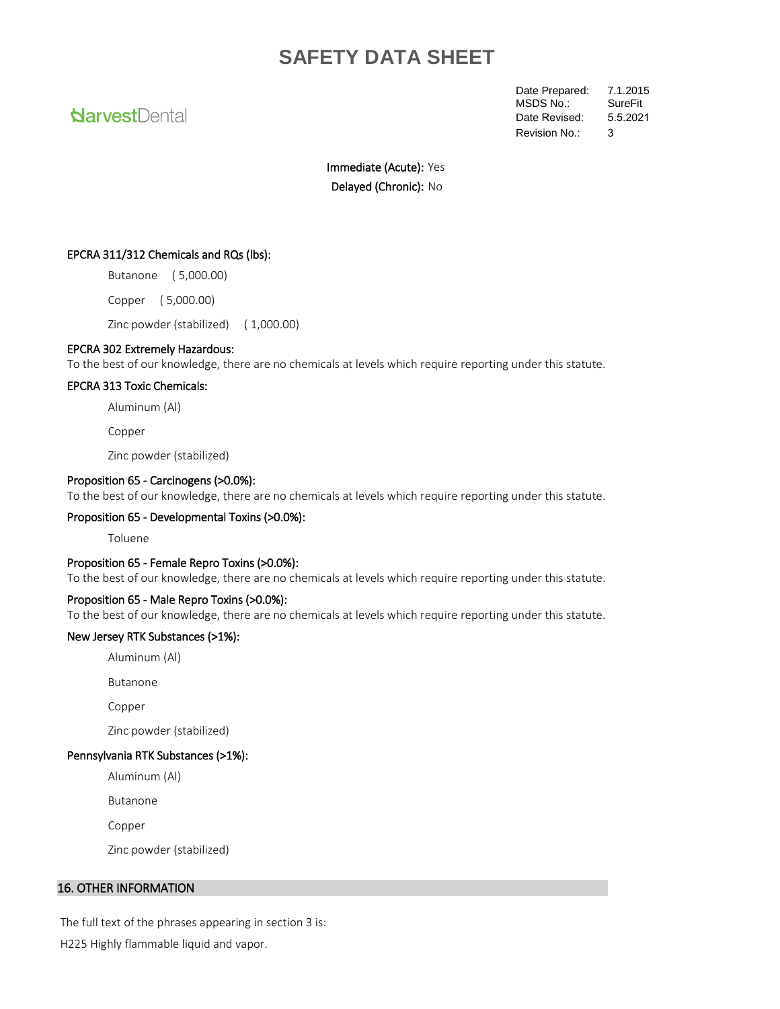# **NarvestDental**

Date Prepared: 7.1.2015<br>MSDS No.: SureFit MSDS No.: Revision No.: 3 Date Revised: 5.5.2021

Immediate (Acute): Yes Delayed (Chronic): No

#### EPCRA 311/312 Chemicals and RQs (lbs):

Butanone ( 5,000.00)

Copper ( 5,000.00)

Zinc powder (stabilized) ( 1,000.00)

#### EPCRA 302 Extremely Hazardous:

To the best of our knowledge, there are no chemicals at levels which require reporting under this statute.

#### EPCRA 313 Toxic Chemicals:

Aluminum (Al)

Copper

Zinc powder (stabilized)

#### Proposition 65 - Carcinogens (>0.0%):

To the best of our knowledge, there are no chemicals at levels which require reporting under this statute.

#### Proposition 65 - Developmental Toxins (>0.0%):

Toluene

#### Proposition 65 - Female Repro Toxins (>0.0%):

To the best of our knowledge, there are no chemicals at levels which require reporting under this statute.

#### Proposition 65 - Male Repro Toxins (>0.0%):

To the best of our knowledge, there are no chemicals at levels which require reporting under this statute.

#### New Jersey RTK Substances (>1%):

Aluminum (Al)

Butanone

Copper

Zinc powder (stabilized)

#### Pennsylvania RTK Substances (>1%):

Aluminum (Al)

Butanone

Copper

Zinc powder (stabilized)

### 16. OTHER INFORMATION

The full text of the phrases appearing in section 3 is:

H225 Highly flammable liquid and vapor.